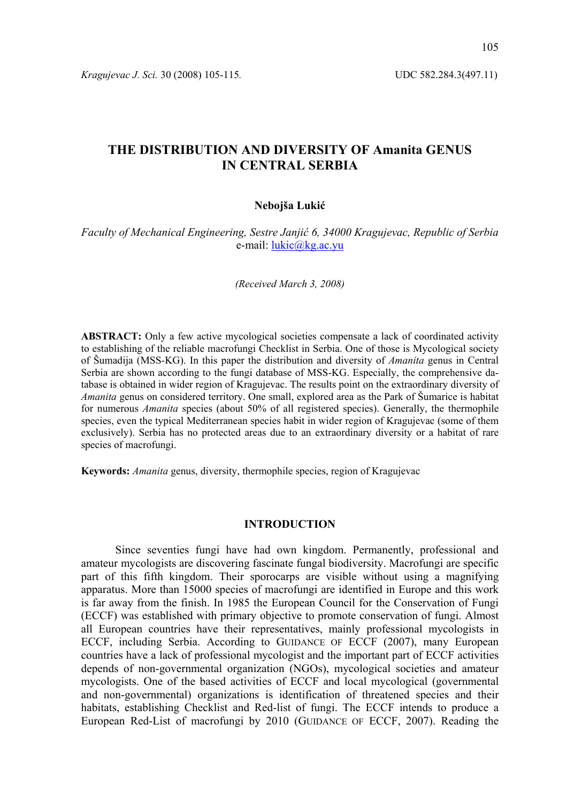# **THE DISTRIBUTION AND DIVERSITY OF Amanita GENUS IN CENTRAL SERBIA**

## **Nebojša Lukić**

*Faculty of Mechanical Engineering, Sestre Janjić 6, 34000 Kragujevac, Republic of Serbia*  e-mail: [lukic@kg.ac.yu](mailto:lukic@kg.ac.yu) 

*(Received March 3, 2008)* 

**ABSTRACT:** Only a few active mycological societies compensate a lack of coordinated activity to establishing of the reliable macrofungi Checklist in Serbia. One of those is Mycological society of Šumadija (MSS-KG). In this paper the distribution and diversity of *Amanita* genus in Central Serbia are shown according to the fungi database of MSS-KG. Especially, the comprehensive database is obtained in wider region of Kragujevac. The results point on the extraordinary diversity of *Amanita* genus on considered territory. One small, explored area as the Park of Šumarice is habitat for numerous *Amanita* species (about 50% of all registered species). Generally, the thermophile species, even the typical Mediterranean species habit in wider region of Kragujevac (some of them exclusively). Serbia has no protected areas due to an extraordinary diversity or a habitat of rare species of macrofungi.

**Keywords:** *Amanita* genus, diversity, thermophile species, region of Kragujevac

#### **INTRODUCTION**

Since seventies fungi have had own kingdom. Permanently, professional and amateur mycologists are discovering fascinate fungal biodiversity. Macrofungi are specific part of this fifth kingdom. Their sporocarps are visible without using a magnifying apparatus. More than 15000 species of macrofungi are identified in Europe and this work is far away from the finish. In 1985 the European Council for the Conservation of Fungi (ECCF) was established with primary objective to promote conservation of fungi. Almost all European countries have their representatives, mainly professional mycologists in ECCF, including Serbia. According to GUIDANCE OF ECCF (2007), many European countries have a lack of professional mycologist and the important part of ECCF activities depends of non-governmental organization (NGOs), mycological societies and amateur mycologists. One of the based activities of ECCF and local mycological (governmental and non-governmental) organizations is identification of threatened species and their habitats, establishing Checklist and Red-list of fungi. The ECCF intends to produce a European Red-List of macrofungi by 2010 (GUIDANCE OF ECCF, 2007). Reading the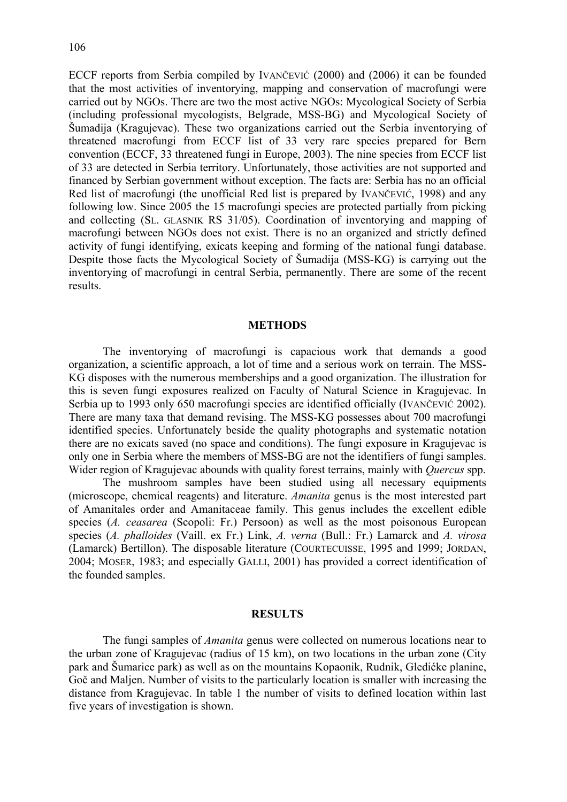ECCF reports from Serbia compiled by IVANČEVIĆ (2000) and (2006) it can be founded that the most activities of inventorying, mapping and conservation of macrofungi were carried out by NGOs. There are two the most active NGOs: Mycological Society of Serbia (including professional mycologists, Belgrade, MSS-BG) and Mycological Society of Šumadija (Kragujevac). These two organizations carried out the Serbia inventorying of threatened macrofungi from ECCF list of 33 very rare species prepared for Bern convention (ECCF, 33 threatened fungi in Europe, 2003). The nine species from ECCF list of 33 are detected in Serbia territory. Unfortunately, those activities are not supported and financed by Serbian government without exception. The facts are: Serbia has no an official Red list of macrofungi (the unofficial Red list is prepared by IVANČEVIĆ, 1998) and any following low. Since 2005 the 15 macrofungi species are protected partially from picking and collecting (SL. GLASNIK RS 31/05). Coordination of inventorying and mapping of macrofungi between NGOs does not exist. There is no an organized and strictly defined activity of fungi identifying, exicats keeping and forming of the national fungi database. Despite those facts the Mycological Society of Šumadija (MSS-KG) is carrying out the inventorying of macrofungi in central Serbia, permanently. There are some of the recent results.

#### **METHODS**

The inventorying of macrofungi is capacious work that demands a good organization, a scientific approach, a lot of time and a serious work on terrain. The MSS-KG disposes with the numerous memberships and a good organization. The illustration for this is seven fungi exposures realized on Faculty of Natural Science in Kragujevac. In Serbia up to 1993 only 650 macrofungi species are identified officially (IVANČEVIĆ 2002). There are many taxa that demand revising. The MSS-KG possesses about 700 macrofungi identified species. Unfortunately beside the quality photographs and systematic notation there are no exicats saved (no space and conditions). The fungi exposure in Kragujevac is only one in Serbia where the members of MSS-BG are not the identifiers of fungi samples. Wider region of Kragujevac abounds with quality forest terrains, mainly with *Quercus* spp.

The mushroom samples have been studied using all necessary equipments (microscope, chemical reagents) and literature. *Amanita* genus is the most interested part of Amanitales order and Amanitaceae family. This genus includes the excellent edible species (*A. ceasarea* (Scopoli: Fr.) Persoon) as well as the most poisonous European species (*A. phalloides* (Vaill. ex Fr.) Link, *A. verna* (Bull.: Fr.) Lamarck and *A. virosa* (Lamarck) Bertillon). The disposable literature (COURTECUISSE, 1995 and 1999; JORDAN, 2004; MOSER, 1983; and especially GALLI, 2001) has provided a correct identification of the founded samples.

#### **RESULTS**

The fungi samples of *Amanita* genus were collected on numerous locations near to the urban zone of Kragujevac (radius of 15 km), on two locations in the urban zone (City park and Šumarice park) as well as on the mountains Kopaonik, Rudnik, Gledićke planine, Goč and Maljen. Number of visits to the particularly location is smaller with increasing the distance from Kragujevac. In table 1 the number of visits to defined location within last five years of investigation is shown.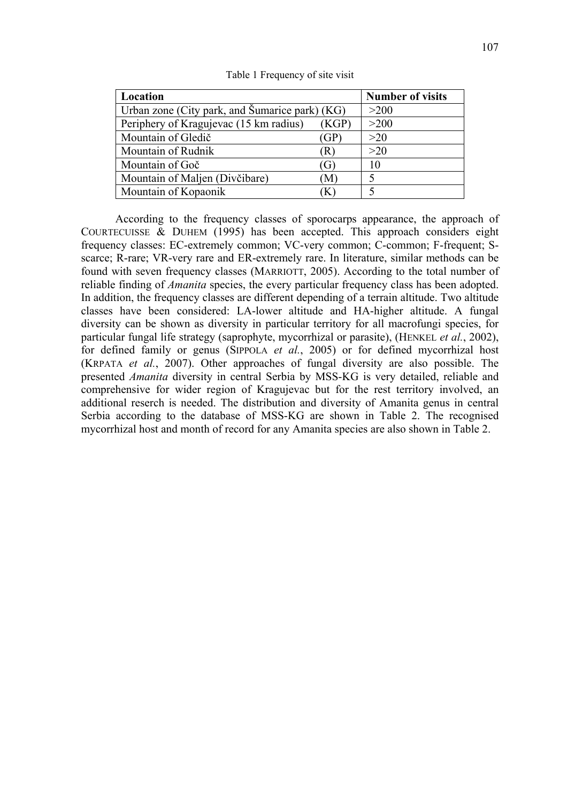| Location                                       |       | <b>Number of visits</b> |
|------------------------------------------------|-------|-------------------------|
| Urban zone (City park, and Šumarice park) (KG) | >200  |                         |
| Periphery of Kragujevac (15 km radius)         | (KGP) | >200                    |
| Mountain of Gledič                             | (GP)  | >20                     |
| Mountain of Rudnik                             | 'R)   | >20                     |
| Mountain of Goč                                | (j)   | 10                      |
| Mountain of Maljen (Divčibare)                 | `M)   |                         |
| Mountain of Kopaonik                           | K.    |                         |

Table 1 Frequency of site visit

According to the frequency classes of sporocarps appearance, the approach of COURTECUISSE & DUHEM (1995) has been accepted. This approach considers eight frequency classes: EC-extremely common; VC-very common; C-common; F-frequent; Sscarce; R-rare; VR-very rare and ER-extremely rare. In literature, similar methods can be found with seven frequency classes (MARRIOTT, 2005). According to the total number of reliable finding of *Amanita* species, the every particular frequency class has been adopted. In addition, the frequency classes are different depending of a terrain altitude. Two altitude classes have been considered: LA-lower altitude and HA-higher altitude. A fungal diversity can be shown as diversity in particular territory for all macrofungi species, for particular fungal life strategy (saprophyte, mycorrhizal or parasite), (HENKEL *et al.*, 2002), for defined family or genus (SIPPOLA *et al.*, 2005) or for defined mycorrhizal host (KRPATA *et al.*, 2007). Other approaches of fungal diversity are also possible. The presented *Amanita* diversity in central Serbia by MSS-KG is very detailed, reliable and comprehensive for wider region of Kragujevac but for the rest territory involved, an additional reserch is needed. The distribution and diversity of Amanita genus in central Serbia according to the database of MSS-KG are shown in Table 2. The recognised mycorrhizal host and month of record for any Amanita species are also shown in Table 2.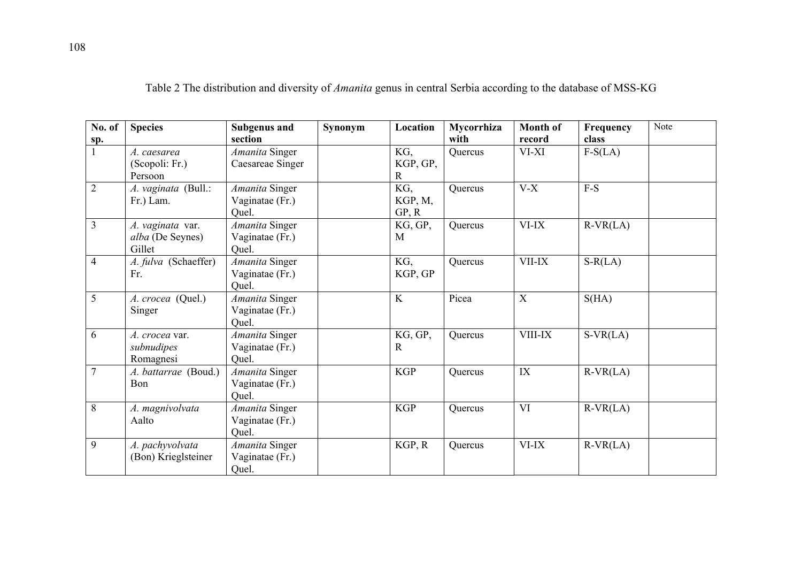| No. of         | <b>Species</b>       | <b>Subgenus and</b> | <b>Synonym</b> | Location    | Mycorrhiza | <b>Month of</b> | Frequency  | Note |
|----------------|----------------------|---------------------|----------------|-------------|------------|-----------------|------------|------|
| sp.            |                      | section             |                |             | with       | record          | class      |      |
| $\mathbf{1}$   | A. caesarea          | Amanita Singer      |                | KG,         | Quercus    | VI-XI           | $F-S(LA)$  |      |
|                | (Scopoli: Fr.)       | Caesareae Singer    |                | KGP, GP,    |            |                 |            |      |
|                | Persoon              |                     |                | $\mathbf R$ |            |                 |            |      |
| $\overline{2}$ | A. vaginata (Bull.:  | Amanita Singer      |                | KG,         | Quercus    | $V-X$           | $F-S$      |      |
|                | Fr.) Lam.            | Vaginatae (Fr.)     |                | KGP, M,     |            |                 |            |      |
|                |                      | Quel.               |                | GP, R       |            |                 |            |      |
| $\overline{3}$ | A. vaginata var.     | Amanita Singer      |                | KG, GP,     | Quercus    | $VI$ -IX        | $R-VR(LA)$ |      |
|                | alba (De Seynes)     | Vaginatae (Fr.)     |                | M           |            |                 |            |      |
|                | Gillet               | Quel.               |                |             |            |                 |            |      |
| $\overline{4}$ | A. fulva (Schaeffer) | Amanita Singer      |                | KG,         | Quercus    | $VII-IX$        | $S-R(LA)$  |      |
|                | Fr.                  | Vaginatae (Fr.)     |                | KGP, GP     |            |                 |            |      |
|                |                      | Quel.               |                |             |            |                 |            |      |
| 5              | A. crocea (Quel.)    | Amanita Singer      |                | K           | Picea      | X               | S(HA)      |      |
|                | Singer               | Vaginatae (Fr.)     |                |             |            |                 |            |      |
|                |                      | Quel.               |                |             |            |                 |            |      |
| 6              | A. crocea var.       | Amanita Singer      |                | KG, GP,     | Quercus    | $VIII$ -IX      | $S-VR(LA)$ |      |
|                | subnudipes           | Vaginatae (Fr.)     |                | $\mathbf R$ |            |                 |            |      |
|                | Romagnesi            | Quel.               |                |             |            |                 |            |      |
| $\overline{7}$ | A. battarrae (Boud.) | Amanita Singer      |                | <b>KGP</b>  | Quercus    | $\mathbf{IX}$   | $R-VR(LA)$ |      |
|                | Bon                  | Vaginatae (Fr.)     |                |             |            |                 |            |      |
|                |                      | Quel.               |                |             |            |                 |            |      |
| 8              | A. magnivolvata      | Amanita Singer      |                | <b>KGP</b>  | Quercus    | <b>VI</b>       | $R-VR(LA)$ |      |
|                | Aalto                | Vaginatae (Fr.)     |                |             |            |                 |            |      |
|                |                      | Quel.               |                |             |            |                 |            |      |
| 9              | A. pachyvolvata      | Amanita Singer      |                | KGP, R      | Quercus    | VI-IX           | $R-VR(LA)$ |      |
|                | (Bon) Krieglsteiner  | Vaginatae (Fr.)     |                |             |            |                 |            |      |
|                |                      | Quel.               |                |             |            |                 |            |      |

# Table 2 The distribution and diversity of *Amanita* genus in central Serbia according to the database of MSS-KG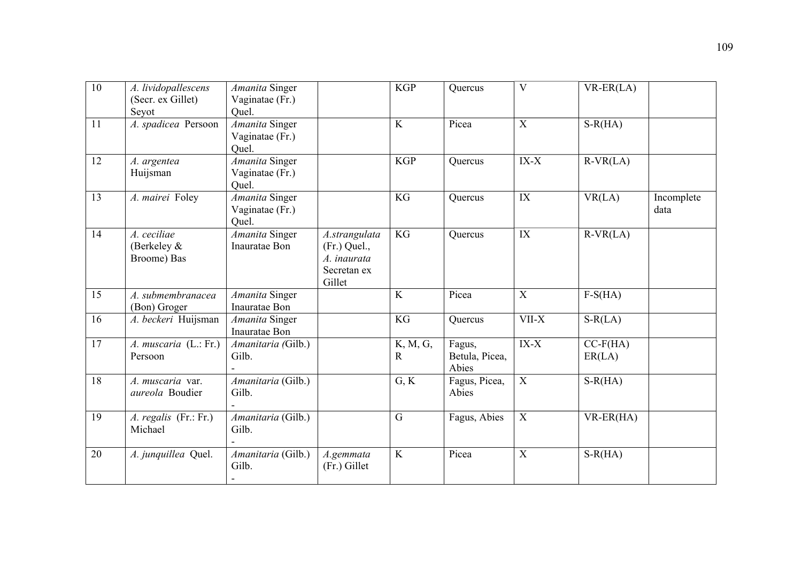| $\overline{10}$ | A. lividopallescens<br>(Secr. ex Gillet)<br>Seyot | Amanita Singer<br>Vaginatae (Fr.)<br>Quel. |                                                                         | <b>KGP</b>               | Quercus                           | $\overline{\mathsf{V}}$ | $VR-ER(LA)$          |                    |
|-----------------|---------------------------------------------------|--------------------------------------------|-------------------------------------------------------------------------|--------------------------|-----------------------------------|-------------------------|----------------------|--------------------|
| 11              | A. spadicea Persoon                               | Amanita Singer<br>Vaginatae (Fr.)<br>Quel. |                                                                         | K                        | Picea                             | $\mathbf X$             | $S-R(HA)$            |                    |
| $\overline{12}$ | A. argentea<br>Huijsman                           | Amanita Singer<br>Vaginatae (Fr.)<br>Quel. |                                                                         | $\overline{\text{KGP}}$  | Quercus                           | $IX-X$                  | $R-VR(LA)$           |                    |
| 13              | A. mairei Foley                                   | Amanita Singer<br>Vaginatae (Fr.)<br>Quel. |                                                                         | $\overline{\mathrm{KG}}$ | Quercus                           | IX                      | VR(LA)               | Incomplete<br>data |
| 14              | A. ceciliae<br>(Berkeley &<br>Broome) Bas         | Amanita Singer<br>Inauratae Bon            | A.strangulata<br>$(Fr.)$ Quel.,<br>A. inaurata<br>Secretan ex<br>Gillet | $\overline{KG}$          | Quercus                           | IX                      | $R-VR(LA)$           |                    |
| $\overline{15}$ | A. submembranacea<br>(Bon) Groger                 | Amanita Singer<br>Inauratae Bon            |                                                                         | K                        | Picea                             | $\overline{X}$          | $F-S(HA)$            |                    |
| 16              | A. beckeri Huijsman                               | Amanita Singer<br>Inauratae Bon            |                                                                         | $\overline{KG}$          | Quercus                           | VII-X                   | $S-R(LA)$            |                    |
| 17              | A. muscaria (L.: Fr.)<br>Persoon                  | Amanitaria (Gilb.)<br>Gilb.                |                                                                         | K, M, G,<br>$\mathbf R$  | Fagus,<br>Betula, Picea,<br>Abies | $IX-X$                  | $CC-F(HA)$<br>ER(LA) |                    |
| 18              | A. muscaria var.<br>aureola Boudier               | Amanitaria (Gilb.)<br>Gilb.                |                                                                         | G, K                     | Fagus, Picea,<br>Abies            | $\mathbf X$             | $S-R(HA)$            |                    |
| 19              | A. regalis (Fr.: Fr.)<br>Michael                  | Amanitaria (Gilb.)<br>Gilb.                |                                                                         | G                        | Fagus, Abies                      | $\mathbf X$             | $VR-ER(HA)$          |                    |
| 20              | A. junquillea Quel.                               | Amanitaria (Gilb.)<br>Gilb.                | A.gemmata<br>(Fr.) Gillet                                               | $\overline{K}$           | Picea                             | $\overline{X}$          | $S-R(HA)$            |                    |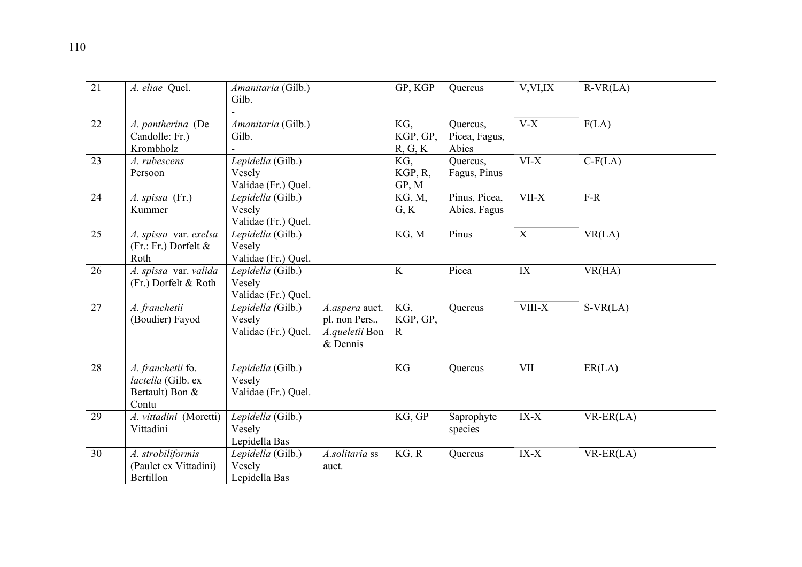| $\overline{21}$ | A. eliae Quel.                                                      | Amanitaria (Gilb.)<br>Gilb.                        |                                                                | GP, KGP                          | Quercus                            | V,VI,IX       | $R-VR(LA)$  |  |
|-----------------|---------------------------------------------------------------------|----------------------------------------------------|----------------------------------------------------------------|----------------------------------|------------------------------------|---------------|-------------|--|
| 22              | A. pantherina (De<br>Candolle: Fr.)<br>Krombholz                    | Amanitaria (Gilb.)<br>Gilb.                        |                                                                | KG,<br>KGP, GP,<br>R, G, K       | Quercus,<br>Picea, Fagus,<br>Abies | $V-X$         | F(LA)       |  |
| 23              | A. rubescens<br>Persoon                                             | Lepidella (Gilb.)<br>Vesely<br>Validae (Fr.) Quel. |                                                                | KG,<br>KGP, R.<br>GP, M          | Quercus,<br>Fagus, Pinus           | $VI-X$        | $C-F(LA)$   |  |
| 24              | A. spissa (Fr.)<br>Kummer                                           | Lepidella (Gilb.)<br>Vesely<br>Validae (Fr.) Quel. |                                                                | KG, M,<br>G, K                   | Pinus, Picea,<br>Abies, Fagus      | VII-X         | $F-R$       |  |
| 25              | A. spissa var. exelsa<br>(Fr.: Fr.) Dorfelt $&$<br>Roth             | Lepidella (Gilb.)<br>Vesely<br>Validae (Fr.) Quel. |                                                                | KG, M                            | Pinus                              | $\mathbf X$   | VR(LA)      |  |
| 26              | A. spissa var. valida<br>(Fr.) Dorfelt & Roth                       | Lepidella (Gilb.)<br>Vesely<br>Validae (Fr.) Quel. |                                                                | K                                | Picea                              | $\mathbf{IX}$ | VR(HA)      |  |
| $\overline{27}$ | A. franchetii<br>(Boudier) Fayod                                    | Lepidella (Gilb.)<br>Vesely<br>Validae (Fr.) Quel. | A.aspera auct.<br>pl. non Pers.,<br>A.queletii Bon<br>& Dennis | KG,<br>KGP, GP,<br>$\mathbf{R}$  | Quercus                            | VIII-X        | $S-VR(LA)$  |  |
| 28              | A. franchetii fo.<br>lactella (Gilb. ex<br>Bertault) Bon &<br>Contu | Lepidella (Gilb.)<br>Vesely<br>Validae (Fr.) Quel. |                                                                | KG                               | Quercus                            | <b>VII</b>    | ER(LA)      |  |
| 29              | A. vittadini (Moretti)<br>Vittadini                                 | Lepidella (Gilb.)<br>Vesely<br>Lepidella Bas       |                                                                | KG, GP                           | Saprophyte<br>species              | $IX-X$        | $VR-ER(LA)$ |  |
| 30              | A. strobiliformis<br>(Paulet ex Vittadini)<br>Bertillon             | Lepidella (Gilb.)<br>Vesely<br>Lepidella Bas       | A.solitaria ss<br>auct.                                        | $\overline{KG}$ , $\overline{R}$ | Quercus                            | $IX-X$        | $VR-ER(LA)$ |  |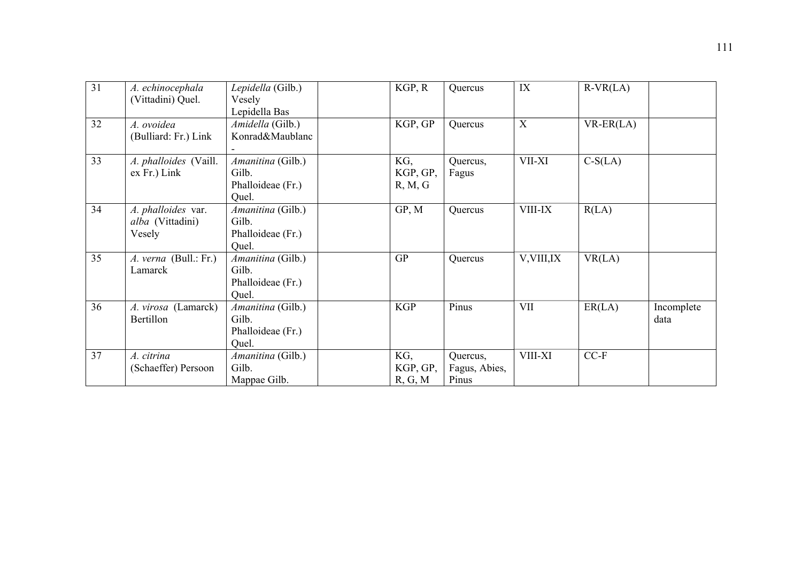| 31 | A. echinocephala<br>(Vittadini) Quel.            | Lepidella (Gilb.)<br>Vesely                              | KGP, R                     | Quercus                            | IX          | $R-VR(LA)$  |                    |
|----|--------------------------------------------------|----------------------------------------------------------|----------------------------|------------------------------------|-------------|-------------|--------------------|
|    |                                                  | Lepidella Bas                                            |                            |                                    |             |             |                    |
| 32 | A. ovoidea<br>(Bulliard: Fr.) Link               | Amidella (Gilb.)<br>Konrad&Maublanc                      | KGP, GP                    | Quercus                            | $\mathbf X$ | $VR-ER(LA)$ |                    |
| 33 | A. phalloides (Vaill.<br>ex Fr.) Link            | Amanitina (Gilb.)<br>Gilb.<br>Phalloideae (Fr.)<br>Quel. | KG,<br>KGP, GP,<br>R, M, G | Quercus,<br>Fagus                  | VII-XI      | $C-S(LA)$   |                    |
| 34 | A. phalloides var.<br>alba (Vittadini)<br>Vesely | Amanitina (Gilb.)<br>Gilb.<br>Phalloideae (Fr.)<br>Quel. | GP, M                      | Quercus                            | VIII-IX     | R(LA)       |                    |
| 35 | $A. verna$ (Bull.: Fr.)<br>Lamarck               | Amanitina (Gilb.)<br>Gilb.<br>Phalloideae (Fr.)<br>Quel. | <b>GP</b>                  | Quercus                            | V,VIII,IX   | VR(LA)      |                    |
| 36 | A. virosa (Lamarck)<br>Bertillon                 | Amanitina (Gilb.)<br>Gilb.<br>Phalloideae (Fr.)<br>Quel. | <b>KGP</b>                 | Pinus                              | <b>VII</b>  | ER(LA)      | Incomplete<br>data |
| 37 | A. citrina<br>(Schaeffer) Persoon                | Amanitina (Gilb.)<br>Gilb.<br>Mappae Gilb.               | KG,<br>KGP, GP,<br>R, G, M | Quercus,<br>Fagus, Abies,<br>Pinus | VIII-XI     | $CC-F$      |                    |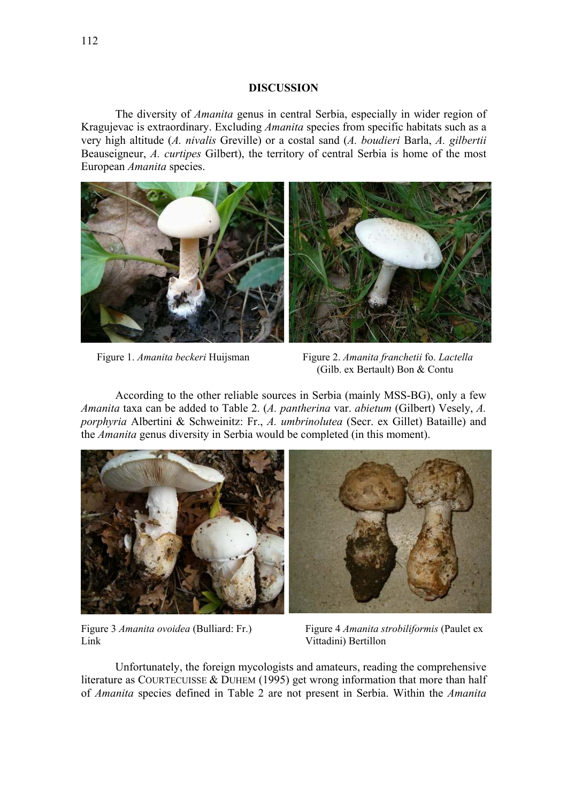## **DISCUSSION**

The diversity of *Amanita* genus in central Serbia, especially in wider region of Kragujevac is extraordinary. Excluding *Amanita* species from specific habitats such as a very high altitude (*A. nivalis* Greville) or a costal sand (*A. boudieri* Barla, *A. gilbertii* Beauseigneur, *A. curtipes* Gilbert), the territory of central Serbia is home of the most European *Amanita* species.



 Figure 1. *Amanita beckeri* Huijsman Figure 2. *Amanita franchetii* fo. *Lactella*  (Gilb. ex Bertault) Bon & Contu

According to the other reliable sources in Serbia (mainly MSS-BG), only a few *Amanita* taxa can be added to Table 2. (*A. pantherina* var. *abietum* (Gilbert) Vesely, *A. porphyria* Albertini & Schweinitz: Fr., *A. umbrinolutea* (Secr. ex Gillet) Bataille) and the *Amanita* genus diversity in Serbia would be completed (in this moment).



Figure 3 *Amanita ovoidea* (Bulliard: Fr.) Figure 4 *Amanita strobiliformis* (Paulet ex Vittadini) Bertillon

Unfortunately, the foreign mycologists and amateurs, reading the comprehensive literature as COURTECUISSE & DUHEM (1995) get wrong information that more than half of *Amanita* species defined in Table 2 are not present in Serbia. Within the *Amanita*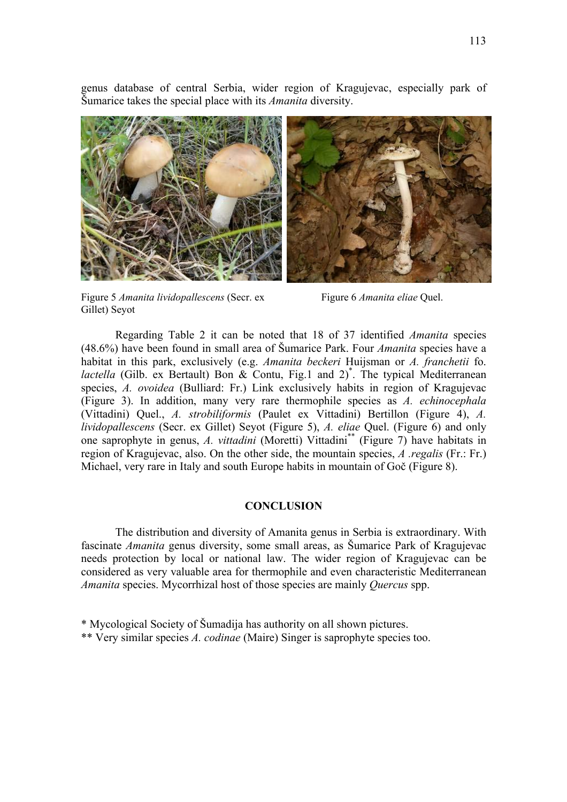genus database of central Serbia, wider region of Kragujevac, especially park of Šumarice takes the special place with its *Amanita* diversity.



Figure 5 *Amanita lividopallescens* (Secr. ex Figure 6 *Amanita eliae* Quel. Gillet) Seyot

Regarding Table 2 it can be noted that 18 of 37 identified *Amanita* species (48.6%) have been found in small area of Šumarice Park. Four *Amanita* species have a habitat in this park, exclusively (e.g. *Amanita beckeri* Huijsman or *A. franchetii* fo. lactella (Gilb. ex Bertault) Bon & Contu, Fig.1 and 2)<sup>\*</sup>. The typical Mediterranean species, *A. ovoidea* (Bulliard: Fr.) Link exclusively habits in region of Kragujevac (Figure 3). In addition, many very rare thermophile species as *A. echinocephala* (Vittadini) Quel., *A. strobiliformis* (Paulet ex Vittadini) Bertillon (Figure 4), *A. lividopallescens* (Secr. ex Gillet) Seyot (Figure 5), *A. eliae* Quel. (Figure 6) and only one saprophyte in genus, *A. vittadini* (Moretti) Vittadini\*\* (Figure 7) have habitats in region of Kragujevac, also. On the other side, the mountain species, *A .regalis* (Fr.: Fr.) Michael, very rare in Italy and south Europe habits in mountain of Goč (Figure 8).

## **CONCLUSION**

The distribution and diversity of Amanita genus in Serbia is extraordinary. With fascinate *Amanita* genus diversity, some small areas, as Šumarice Park of Kragujevac needs protection by local or national law. The wider region of Kragujevac can be considered as very valuable area for thermophile and even characteristic Mediterranean *Amanita* species. Mycorrhizal host of those species are mainly *Quercus* spp.

<sup>\*</sup> Mycological Society of Šumadija has authority on all shown pictures.

<sup>\*\*</sup> Very similar species *A. codinae* (Maire) Singer is saprophyte species too.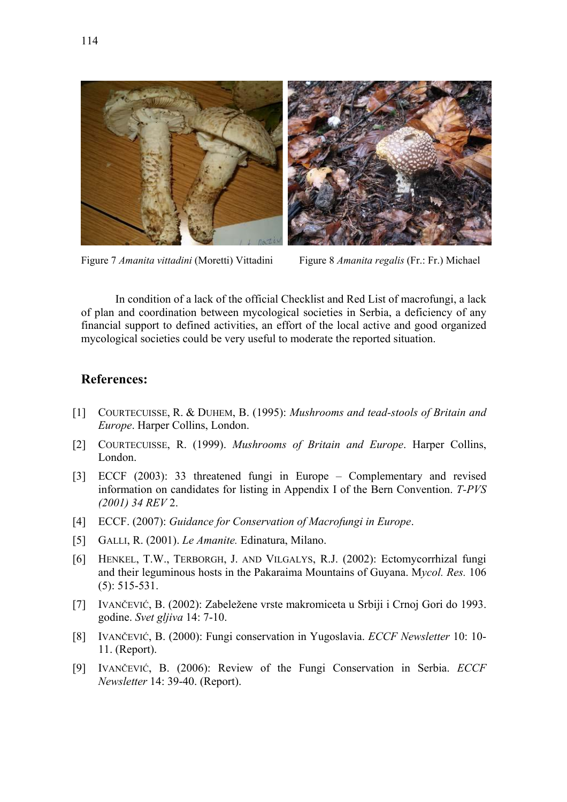

Figure 7 *Amanita vittadini* (Moretti) Vittadini Figure 8 *Amanita regalis* (Fr.: Fr.) Michael

In condition of a lack of the official Checklist and Red List of macrofungi, a lack of plan and coordination between mycological societies in Serbia, a deficiency of any financial support to defined activities, an effort of the local active and good organized mycological societies could be very useful to moderate the reported situation.

# **References:**

- [1] COURTECUISSE, R. & DUHEM, B. (1995): *Mushrooms and tead-stools of Britain and Europe*. Harper Collins, London.
- [2] COURTECUISSE, R. (1999). *Mushrooms of Britain and Europe*. Harper Collins, London.
- [3] ECCF (2003): 33 threatened fungi in Europe Complementary and revised information on candidates for listing in Appendix I of the Bern Convention. *T-PVS (2001) 34 REV* 2.
- [4] ECCF. (2007): *Guidance for Conservation of Macrofungi in Europe*.
- [5] GALLI, R. (2001). *Le Amanite.* Edinatura, Milano.
- [6] HENKEL, T.W., TERBORGH, J. AND VILGALYS, R.J. (2002): Ectomycorrhizal fungi and their leguminous hosts in the Pakaraima Mountains of Guyana. M*ycol. Res.* 106 (5): 515-531.
- [7] IVANČEVIĆ, B. (2002): Zabeležene vrste makromiceta u Srbiji i Crnoj Gori do 1993. godine. *Svet gljiva* 14: 7-10.
- [8] IVANČEVIĆ, B. (2000): Fungi conservation in Yugoslavia. *ECCF Newsletter* 10: 10- 11. (Report).
- [9] IVANČEVIĆ, B. (2006): Review of the Fungi Conservation in Serbia. *ECCF Newsletter* 14: 39-40. (Report).